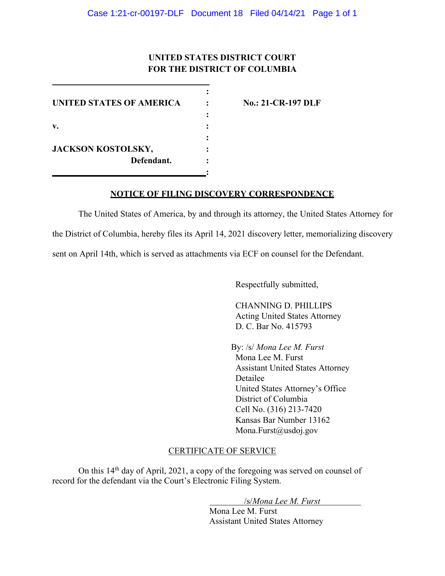# **UNITED STATES DISTRICT COURT FOR THE DISTRICT OF COLUMBIA**

**:**

**:**

**:** 

**:**

**UNITED STATES OF AMERICA : No.: 21-CR-197 DLF v. : JACKSON KOSTOLSKY, : Defendant. :**

## **NOTICE OF FILING DISCOVERY CORRESPONDENCE**

The United States of America, by and through its attorney, the United States Attorney for the District of Columbia, hereby files its April 14, 2021 discovery letter, memorializing discovery sent on April 14th, which is served as attachments via ECF on counsel for the Defendant.

Respectfully submitted,

CHANNING D. PHILLIPS Acting United States Attorney D. C. Bar No. 415793

By: /s/ *Mona Lee M. Furst*  Mona Lee M. Furst Assistant United States Attorney Detailee United States Attorney's Office District of Columbia Cell No. (316) 213-7420 Kansas Bar Number 13162 Mona.Furst@usdoj.gov

### CERTIFICATE OF SERVICE

On this 14th day of April, 2021, a copy of the foregoing was served on counsel of record for the defendant via the Court's Electronic Filing System.

/s/*Mona Lee M. Furst*

Mona Lee M. Furst Assistant United States Attorney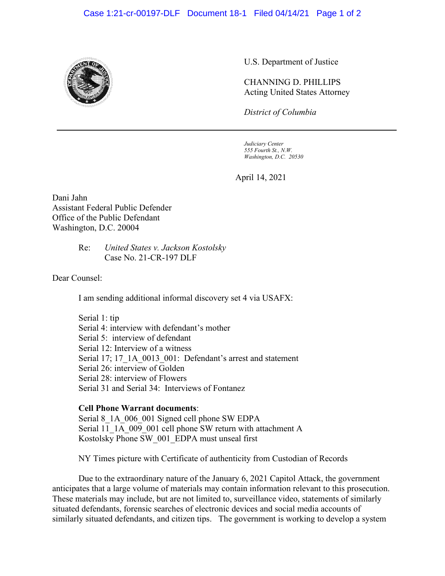#### Case 1:21-cr-00197-DLF Document 18-1 Filed 04/14/21 Page 1 of 2



U.S. Department of Justice

CHANNING D. PHILLIPS Acting United States Attorney

*District of Columbia*

*Judiciary Center 555 Fourth St., N.W. Washington, D.C. 20530*

April 14, 2021

Dani Jahn Assistant Federal Public Defender Office of the Public Defendant Washington, D.C. 20004

> Re: *United States v. Jackson Kostolsky* Case No. 21-CR-197 DLF

Dear Counsel:

I am sending additional informal discovery set 4 via USAFX:

Serial 1: tip Serial 4: interview with defendant's mother Serial 5: interview of defendant Serial 12: Interview of a witness Serial 17; 17\_1A\_0013\_001: Defendant's arrest and statement Serial 26: interview of Golden Serial 28: interview of Flowers Serial 31 and Serial 34: Interviews of Fontanez

## **Cell Phone Warrant documents**:

Serial 8 1A 006 001 Signed cell phone SW EDPA Serial 11\_1A\_009\_001 cell phone SW return with attachment A Kostolsky Phone SW\_001\_EDPA must unseal first

NY Times picture with Certificate of authenticity from Custodian of Records

Due to the extraordinary nature of the January 6, 2021 Capitol Attack, the government anticipates that a large volume of materials may contain information relevant to this prosecution. These materials may include, but are not limited to, surveillance video, statements of similarly situated defendants, forensic searches of electronic devices and social media accounts of similarly situated defendants, and citizen tips. The government is working to develop a system